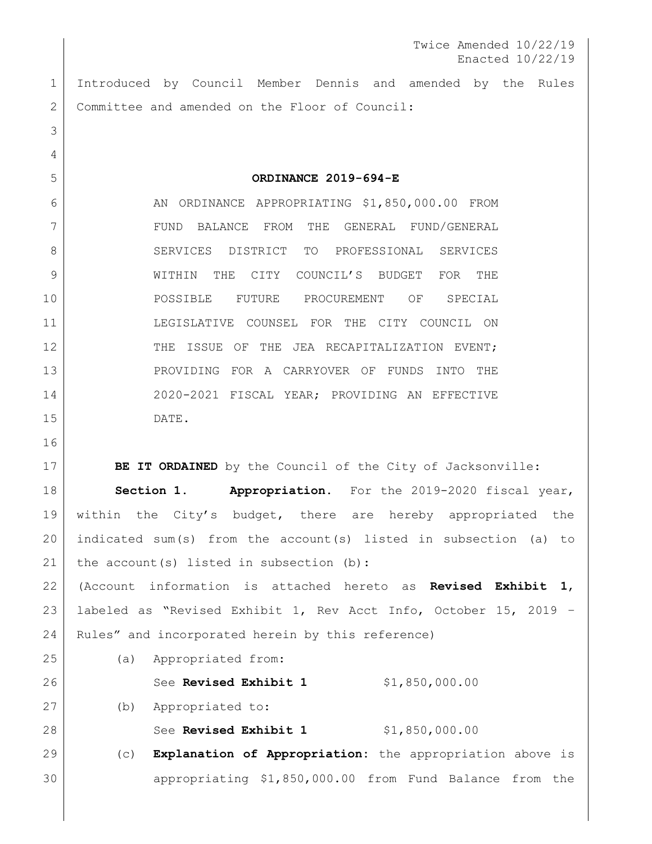Twice Amended 10/22/19 Enacted 10/22/19

 Introduced by Council Member Dennis and amended by the Rules Committee and amended on the Floor of Council:

 **ORDINANCE 2019-694-E** 6 AN ORDINANCE APPROPRIATING \$1,850,000.00 FROM FUND BALANCE FROM THE GENERAL FUND/GENERAL 8 SERVICES DISTRICT TO PROFESSIONAL SERVICES WITHIN THE CITY COUNCIL'S BUDGET FOR THE POSSIBLE FUTURE PROCUREMENT OF SPECIAL LEGISLATIVE COUNSEL FOR THE CITY COUNCIL ON 12 THE ISSUE OF THE JEA RECAPITALIZATION EVENT; PROVIDING FOR A CARRYOVER OF FUNDS INTO THE 2020-2021 FISCAL YEAR; PROVIDING AN EFFECTIVE DATE.

**BE IT ORDAINED** by the Council of the City of Jacksonville: **Section 1. Appropriation.** For the 2019-2020 fiscal year, within the City's budget, there are hereby appropriated the indicated sum(s) from the account(s) listed in subsection (a) to 21 | the account(s) listed in subsection (b): (Account information is attached hereto as **Revised Exhibit 1**, labeled as "Revised Exhibit 1, Rev Acct Info, October 15, 2019 –

 Rules" and incorporated herein by this reference) (a) Appropriated from: See **Revised Exhibit 1** \$1,850,000.00 (b) Appropriated to: 28 See **Revised Exhibit 1** \$1,850,000.00 (c) **Explanation of Appropriation:** the appropriation above is

appropriating \$1,850,000.00 from Fund Balance from the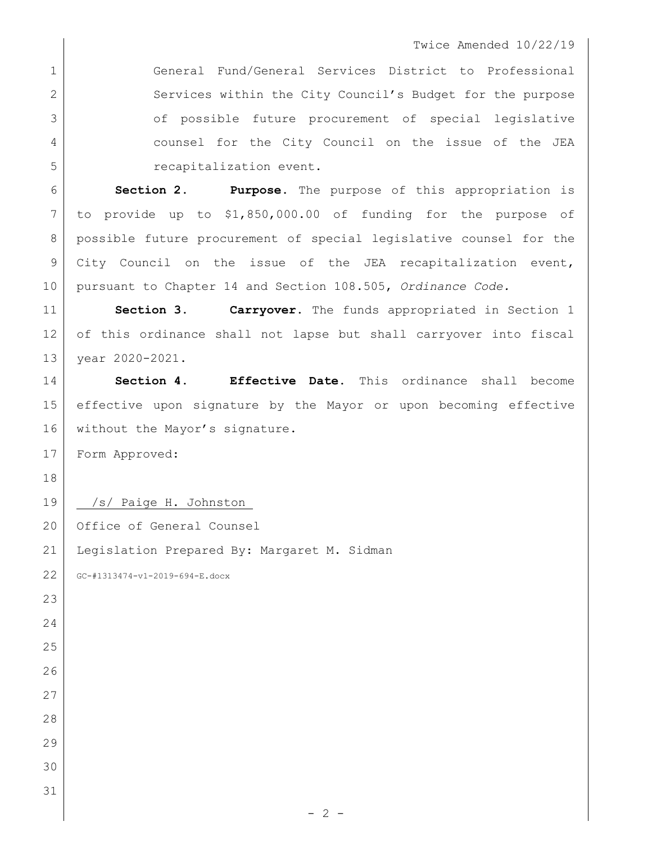## Twice Amended 10/22/19

 General Fund/General Services District to Professional 2 Services within the City Council's Budget for the purpose 3 of possible future procurement of special legislative counsel for the City Council on the issue of the JEA **b** recapitalization event.

 **Section 2**. **Purpose.** The purpose of this appropriation is to provide up to \$1,850,000.00 of funding for the purpose of 8 | possible future procurement of special legislative counsel for the City Council on the issue of the JEA recapitalization event, pursuant to Chapter 14 and Section 108.505, *Ordinance Code.*

 **Section 3**. **Carryover.** The funds appropriated in Section 1 12 of this ordinance shall not lapse but shall carryover into fiscal year 2020-2021.

 **Section 4. Effective Date.** This ordinance shall become effective upon signature by the Mayor or upon becoming effective 16 | without the Mayor's signature.

 $-2 -$ 

Form Approved:

19 /s/ Paige H. Johnston\_

20 Office of General Counsel

Legislation Prepared By: Margaret M. Sidman

GC-#1313474-v1-2019-694-E.docx